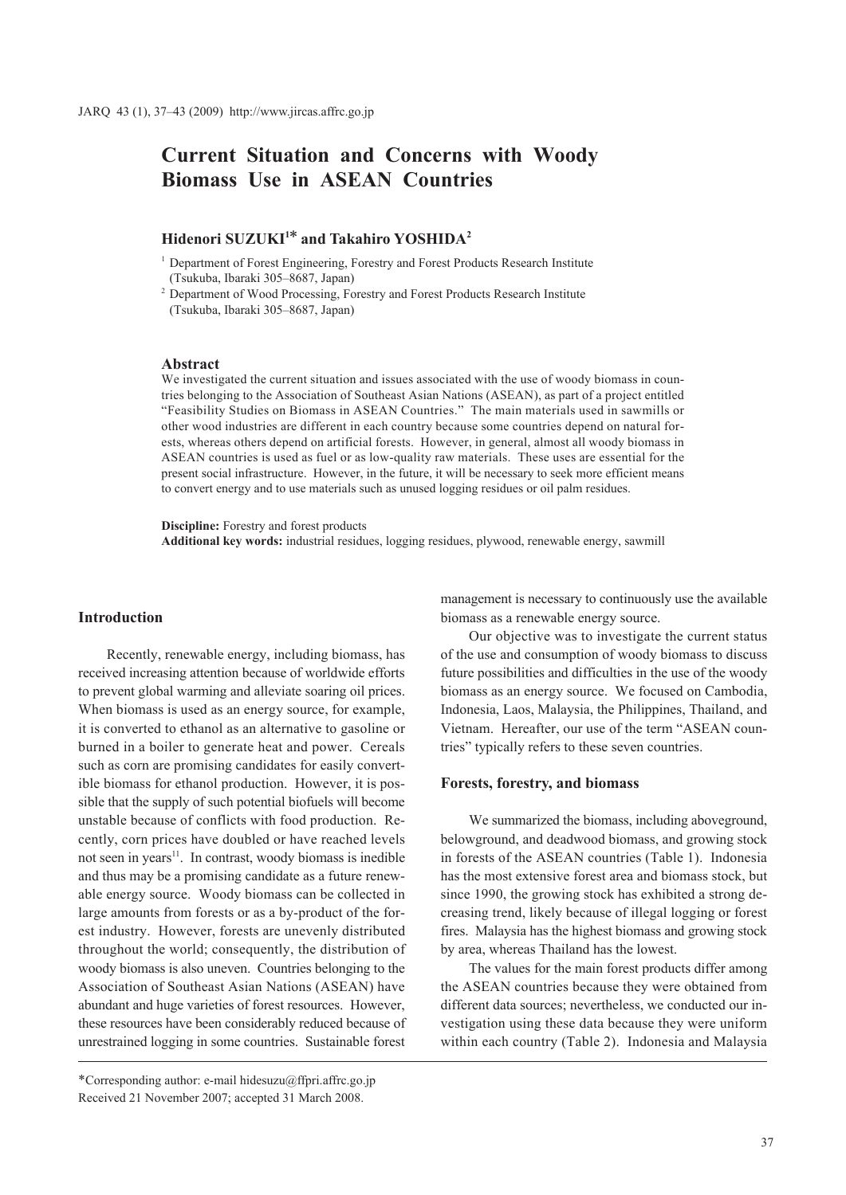# **Current Situation and Concerns with Woody Biomass Use in ASEAN Countries**

## **Hidenori SUZUKI1\* and Takahiro YOSHIDA2**

<sup>1</sup> Department of Forest Engineering, Forestry and Forest Products Research Institute (Tsukuba, Ibaraki 305–8687, Japan)

<sup>2</sup> Department of Wood Processing, Forestry and Forest Products Research Institute (Tsukuba, Ibaraki 305–8687, Japan)

### **Abstract**

We investigated the current situation and issues associated with the use of woody biomass in countries belonging to the Association of Southeast Asian Nations (ASEAN), as part of a project entitled "Feasibility Studies on Biomass in ASEAN Countries." The main materials used in sawmills or other wood industries are different in each country because some countries depend on natural forests, whereas others depend on artificial forests. However, in general, almost all woody biomass in ASEAN countries is used as fuel or as low-quality raw materials. These uses are essential for the present social infrastructure. However, in the future, it will be necessary to seek more efficient means to convert energy and to use materials such as unused logging residues or oil palm residues.

**Discipline:** Forestry and forest products **Additional key words:** industrial residues, logging residues, plywood, renewable energy, sawmill

#### **Introduction**

Recently, renewable energy, including biomass, has received increasing attention because of worldwide efforts to prevent global warming and alleviate soaring oil prices. When biomass is used as an energy source, for example, it is converted to ethanol as an alternative to gasoline or burned in a boiler to generate heat and power. Cereals such as corn are promising candidates for easily convertible biomass for ethanol production. However, it is possible that the supply of such potential biofuels will become unstable because of conflicts with food production. Recently, corn prices have doubled or have reached levels not seen in years<sup>11</sup>. In contrast, woody biomass is inedible and thus may be a promising candidate as a future renewable energy source. Woody biomass can be collected in large amounts from forests or as a by-product of the forest industry. However, forests are unevenly distributed throughout the world; consequently, the distribution of woody biomass is also uneven. Countries belonging to the Association of Southeast Asian Nations (ASEAN) have abundant and huge varieties of forest resources. However, these resources have been considerably reduced because of unrestrained logging in some countries. Sustainable forest

management is necessary to continuously use the available biomass as a renewable energy source.

Our objective was to investigate the current status of the use and consumption of woody biomass to discuss future possibilities and difficulties in the use of the woody biomass as an energy source. We focused on Cambodia, Indonesia, Laos, Malaysia, the Philippines, Thailand, and Vietnam. Hereafter, our use of the term "ASEAN countries" typically refers to these seven countries.

#### **Forests, forestry, and biomass**

We summarized the biomass, including aboveground, belowground, and deadwood biomass, and growing stock in forests of the ASEAN countries (Table 1). Indonesia has the most extensive forest area and biomass stock, but since 1990, the growing stock has exhibited a strong decreasing trend, likely because of illegal logging or forest fires. Malaysia has the highest biomass and growing stock by area, whereas Thailand has the lowest.

The values for the main forest products differ among the ASEAN countries because they were obtained from different data sources; nevertheless, we conducted our investigation using these data because they were uniform within each country (Table 2). Indonesia and Malaysia

<sup>\*</sup>Corresponding author: e-mail hidesuzu@ffpri.affrc.go.jp Received 21 November 2007; accepted 31 March 2008.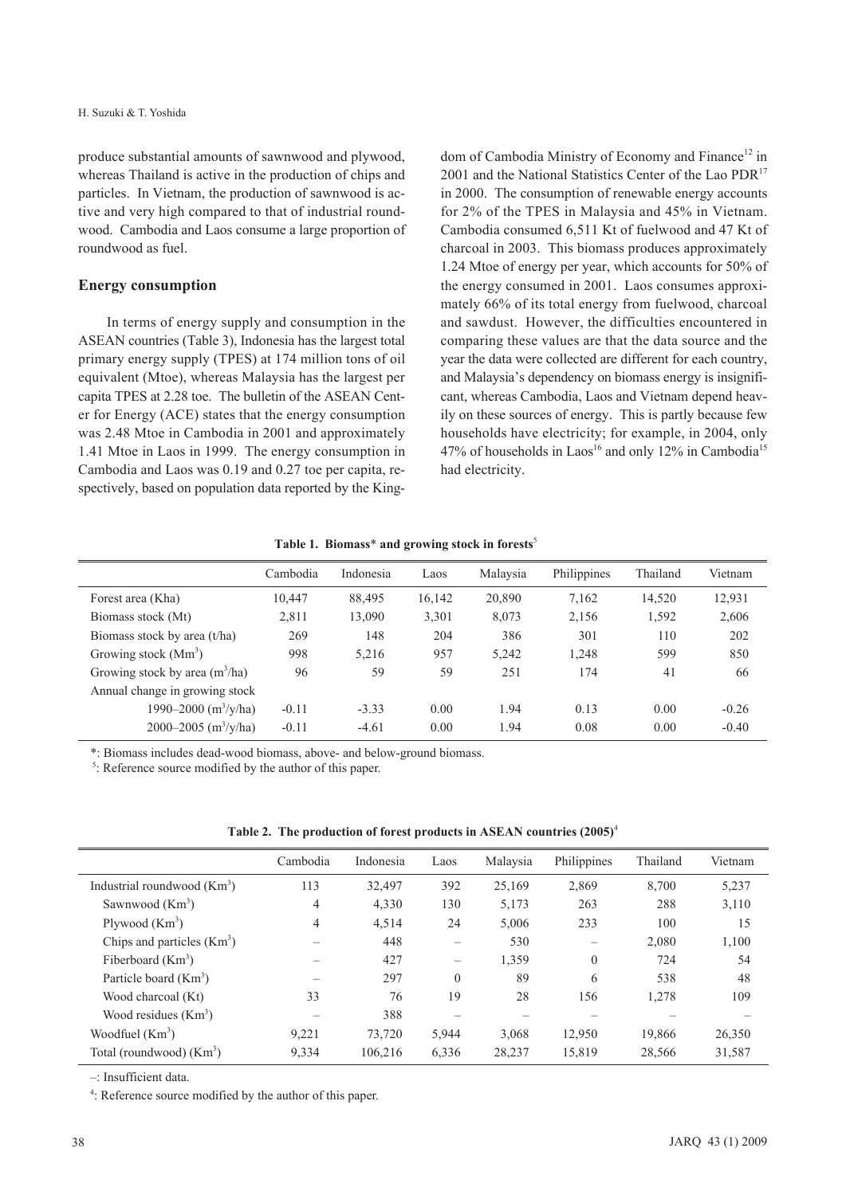produce substantial amounts of sawnwood and plywood, whereas Thailand is active in the production of chips and particles. In Vietnam, the production of sawnwood is active and very high compared to that of industrial roundwood. Cambodia and Laos consume a large proportion of roundwood as fuel.

#### **Energy consumption**

In terms of energy supply and consumption in the ASEAN countries (Table 3), Indonesia has the largest total primary energy supply (TPES) at 174 million tons of oil equivalent (Mtoe), whereas Malaysia has the largest per capita TPES at 2.28 toe. The bulletin of the ASEAN Center for Energy (ACE) states that the energy consumption was 2.48 Mtoe in Cambodia in 2001 and approximately 1.41 Mtoe in Laos in 1999. The energy consumption in Cambodia and Laos was 0.19 and 0.27 toe per capita, respectively, based on population data reported by the Kingdom of Cambodia Ministry of Economy and Finance<sup>12</sup> in 2001 and the National Statistics Center of the Lao PDR<sup>17</sup> in 2000. The consumption of renewable energy accounts for 2% of the TPES in Malaysia and 45% in Vietnam. Cambodia consumed 6,511 Kt of fuelwood and 47 Kt of charcoal in 2003. This biomass produces approximately 1.24 Mtoe of energy per year, which accounts for 50% of the energy consumed in 2001. Laos consumes approximately 66% of its total energy from fuelwood, charcoal and sawdust. However, the difficulties encountered in comparing these values are that the data source and the year the data were collected are different for each country, and Malaysia's dependency on biomass energy is insignificant, whereas Cambodia, Laos and Vietnam depend heavily on these sources of energy. This is partly because few households have electricity; for example, in 2004, only 47% of households in Laos<sup>16</sup> and only 12% in Cambodia<sup>15</sup> had electricity.

|                                  | Cambodia | Indonesia | Laos   | Malaysia | Philippines | Thailand | Vietnam |
|----------------------------------|----------|-----------|--------|----------|-------------|----------|---------|
| Forest area (Kha)                | 10,447   | 88,495    | 16,142 | 20,890   | 7,162       | 14,520   | 12,931  |
| Biomass stock (Mt)               | 2,811    | 13,090    | 3,301  | 8,073    | 2,156       | 1,592    | 2,606   |
| Biomass stock by area (t/ha)     | 269      | 148       | 204    | 386      | 301         | 110      | 202     |
| Growing stock $(Mm3)$            | 998      | 5,216     | 957    | 5,242    | 1,248       | 599      | 850     |
| Growing stock by area $(m^3/ha)$ | 96       | 59        | 59     | 251      | 174         | 41       | 66      |
| Annual change in growing stock   |          |           |        |          |             |          |         |
| 1990–2000 (m <sup>3</sup> /y/ha) | $-0.11$  | $-3.33$   | 0.00   | 1.94     | 0.13        | 0.00     | $-0.26$ |
| 2000–2005 $(m^3/y/ha)$           | $-0.11$  | $-4.61$   | 0.00   | 1.94     | 0.08        | 0.00     | $-0.40$ |

**Table 1. Biomass**\* **and growing stock in forests**<sup>5</sup>

\*: Biomass includes dead-wood biomass, above- and below-ground biomass.

<sup>5</sup>: Reference source modified by the author of this paper.

| Table 2. The production of forest products in ASEAN countries $(2005)^4$ |  |  |  |  |  |  |
|--------------------------------------------------------------------------|--|--|--|--|--|--|
|--------------------------------------------------------------------------|--|--|--|--|--|--|

|                                      | Cambodia | Indonesia | Laos                     | Malaysia | Philippines | Thailand | Vietnam |
|--------------------------------------|----------|-----------|--------------------------|----------|-------------|----------|---------|
| Industrial roundwood $(Km^3)$        | 113      | 32.497    | 392                      | 25,169   | 2,869       | 8.700    | 5,237   |
| Sawnwood $(Km3)$                     | 4        | 4,330     | 130                      | 5,173    | 263         | 288      | 3,110   |
| Plywood $(Km^3)$                     | 4        | 4,514     | 24                       | 5,006    | 233         | 100      | 15      |
| Chips and particles $(Km^3)$         |          | 448       |                          | 530      |             | 2,080    | 1,100   |
| Fiberboard $(Km^3)$                  |          | 427       | $\overline{\phantom{0}}$ | 1,359    | $\theta$    | 724      | 54      |
| Particle board $(Km^3)$              |          | 297       | $\theta$                 | 89       | 6           | 538      | 48      |
| Wood charcoal (Kt)                   | 33       | 76        | 19                       | 28       | 156         | 1,278    | 109     |
| Wood residues $(Km3)$                |          | 388       |                          |          |             |          |         |
| Woodfuel $(Km3)$                     | 9,221    | 73.720    | 5,944                    | 3,068    | 12,950      | 19,866   | 26,350  |
| Total (roundwood) (Km <sup>3</sup> ) | 9.334    | 106.216   | 6,336                    | 28,237   | 15,819      | 28.566   | 31,587  |

–: Insufficient data.

4 : Reference source modified by the author of this paper.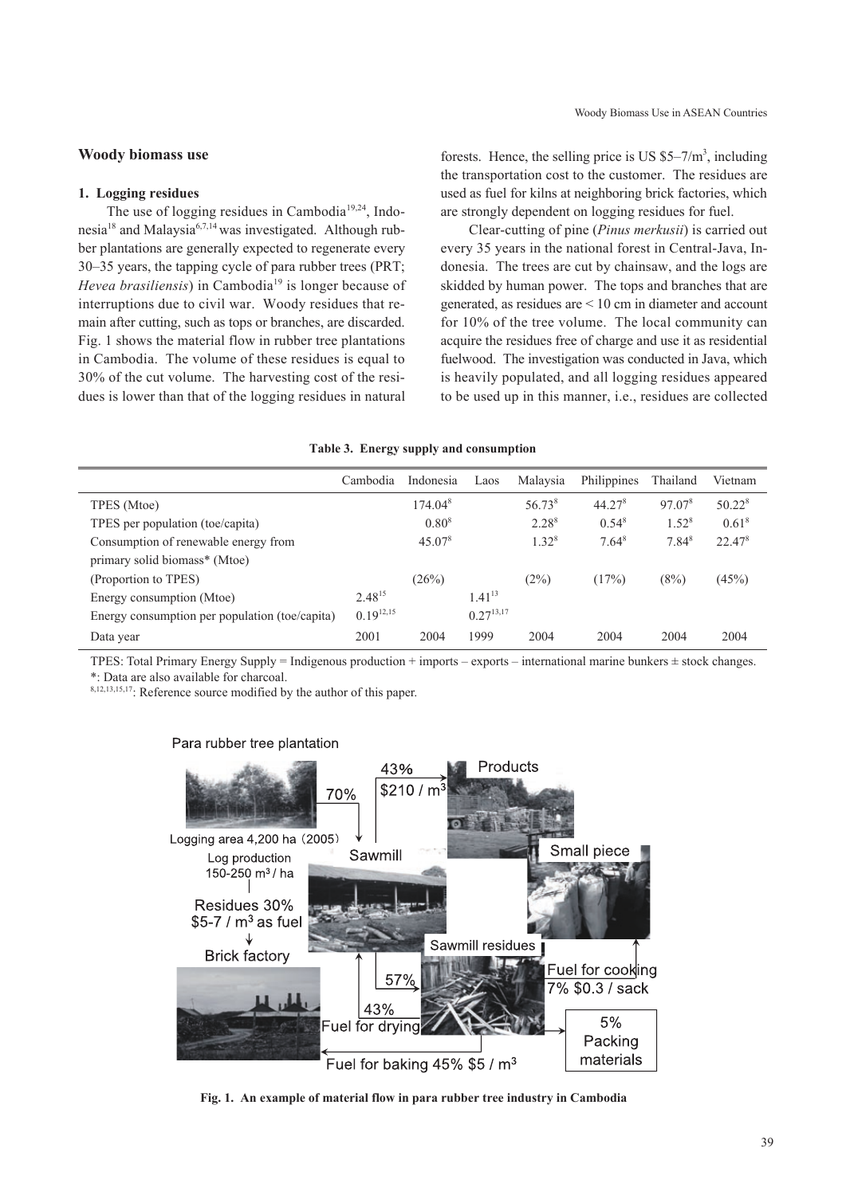#### **Woody biomass use**

#### **1. Logging residues**

The use of logging residues in Cambodia<sup>19,24</sup>, Indonesia18 and Malaysia6,7,14 was investigated. Although rubber plantations are generally expected to regenerate every 30–35 years, the tapping cycle of para rubber trees (PRT; *Hevea brasiliensis*) in Cambodia<sup>19</sup> is longer because of interruptions due to civil war. Woody residues that remain after cutting, such as tops or branches, are discarded. Fig. 1 shows the material flow in rubber tree plantations in Cambodia. The volume of these residues is equal to 30% of the cut volume. The harvesting cost of the residues is lower than that of the logging residues in natural

forests. Hence, the selling price is US  $$5-7/m^3$ , including the transportation cost to the customer. The residues are used as fuel for kilns at neighboring brick factories, which are strongly dependent on logging residues for fuel.

Clear-cutting of pine (*Pinus merkusii*) is carried out every 35 years in the national forest in Central-Java, Indonesia. The trees are cut by chainsaw, and the logs are skidded by human power. The tops and branches that are generated, as residues are < 10 cm in diameter and account for 10% of the tree volume. The local community can acquire the residues free of charge and use it as residential fuelwood. The investigation was conducted in Java, which is heavily populated, and all logging residues appeared to be used up in this manner, i.e., residues are collected

#### **Table 3. Energy supply and consumption**

|                                                | Cambodia       | Indonesia           | Laos           | Malaysia           | Philippines        | Thailand           | Vietnam            |
|------------------------------------------------|----------------|---------------------|----------------|--------------------|--------------------|--------------------|--------------------|
| TPES (Mtoe)                                    |                | 174.04 <sup>8</sup> |                | 56.73 <sup>8</sup> | 44.27 <sup>8</sup> | 97.07 <sup>8</sup> | 50.22 <sup>8</sup> |
| TPES per population (toe/capita)               |                | $0.80^{8}$          |                | $2.28^{8}$         | $0.54^{8}$         | $1.52^{8}$         | 0.61 <sup>8</sup>  |
| Consumption of renewable energy from           |                | $45.07^8$           |                | $1.32^{8}$         | $7.64^8$           | $7.84^8$           | $22.47^8$          |
| primary solid biomass* (Mtoe)                  |                |                     |                |                    |                    |                    |                    |
| (Proportion to TPES)                           |                | (26%)               |                | (2%)               | (17%)              | (8%)               | (45%)              |
| Energy consumption (Mtoe)                      | $2.48^{15}$    |                     | $1.41^{13}$    |                    |                    |                    |                    |
| Energy consumption per population (toe/capita) | $0.19^{12,15}$ |                     | $0.27^{13,17}$ |                    |                    |                    |                    |
| Data year                                      | 2001           | 2004                | 1999           | 2004               | 2004               | 2004               | 2004               |

TPES: Total Primary Energy Supply = Indigenous production + imports – exports – international marine bunkers  $\pm$  stock changes. \*: Data are also available for charcoal.

8,12,13,15,17: Reference source modified by the author of this paper.



#### Para rubber tree plantation

**Fig. 1. An example of material flow in para rubber tree industry in Cambodia**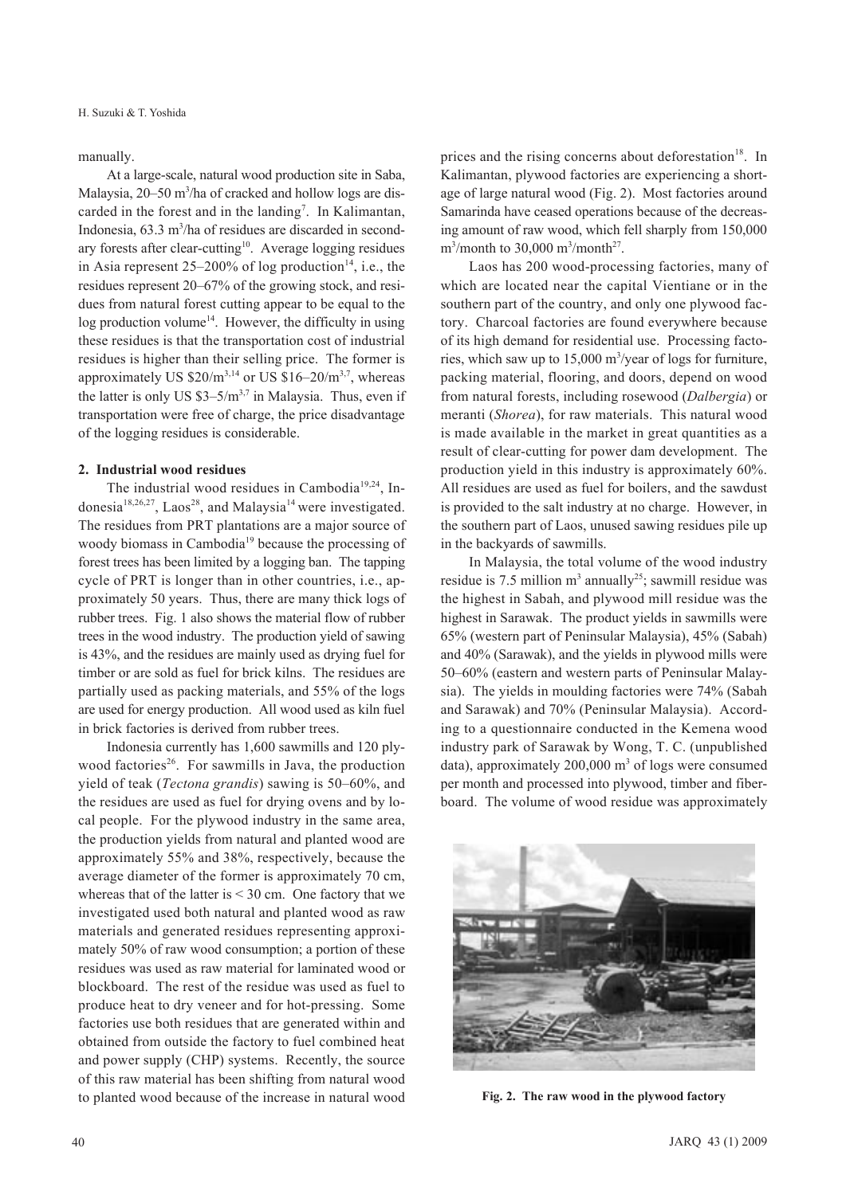manually.

At a large-scale, natural wood production site in Saba, Malaysia, 20–50 m<sup>3</sup>/ha of cracked and hollow logs are discarded in the forest and in the landing<sup>7</sup>. In Kalimantan, Indonesia, 63.3 m<sup>3</sup>/ha of residues are discarded in secondary forests after clear-cutting<sup>10</sup>. Average logging residues in Asia represent  $25-200\%$  of log production<sup>14</sup>, i.e., the residues represent 20–67% of the growing stock, and residues from natural forest cutting appear to be equal to the  $\log$  production volume<sup>14</sup>. However, the difficulty in using these residues is that the transportation cost of industrial residues is higher than their selling price. The former is approximately US  $$20/m^{3,14}$  or US  $$16-20/m^{3,7}$ , whereas the latter is only US  $$3-5/m<sup>3,7</sup>$  in Malaysia. Thus, even if transportation were free of charge, the price disadvantage of the logging residues is considerable.

#### **2. Industrial wood residues**

The industrial wood residues in Cambodia<sup>19,24</sup>, Indonesia<sup>18,26,27</sup>, Laos<sup>28</sup>, and Malaysia<sup>14</sup> were investigated. The residues from PRT plantations are a major source of woody biomass in Cambodia<sup>19</sup> because the processing of forest trees has been limited by a logging ban. The tapping cycle of PRT is longer than in other countries, i.e., approximately 50 years. Thus, there are many thick logs of rubber trees. Fig. 1 also shows the material flow of rubber trees in the wood industry. The production yield of sawing is 43%, and the residues are mainly used as drying fuel for timber or are sold as fuel for brick kilns. The residues are partially used as packing materials, and 55% of the logs are used for energy production. All wood used as kiln fuel in brick factories is derived from rubber trees.

Indonesia currently has 1,600 sawmills and 120 plywood factories<sup>26</sup>. For sawmills in Java, the production yield of teak (*Tectona grandis*) sawing is 50–60%, and the residues are used as fuel for drying ovens and by local people. For the plywood industry in the same area, the production yields from natural and planted wood are approximately 55% and 38%, respectively, because the average diameter of the former is approximately 70 cm, whereas that of the latter is  $<$  30 cm. One factory that we investigated used both natural and planted wood as raw materials and generated residues representing approximately 50% of raw wood consumption; a portion of these residues was used as raw material for laminated wood or blockboard. The rest of the residue was used as fuel to produce heat to dry veneer and for hot-pressing. Some factories use both residues that are generated within and obtained from outside the factory to fuel combined heat and power supply (CHP) systems. Recently, the source of this raw material has been shifting from natural wood to planted wood because of the increase in natural wood

prices and the rising concerns about deforestation<sup>18</sup>. In Kalimantan, plywood factories are experiencing a shortage of large natural wood (Fig. 2). Most factories around Samarinda have ceased operations because of the decreasing amount of raw wood, which fell sharply from 150,000  $\text{m}^3/\text{month}$  to 30,000  $\text{m}^3/\text{month}^{27}$ .

Laos has 200 wood-processing factories, many of which are located near the capital Vientiane or in the southern part of the country, and only one plywood factory. Charcoal factories are found everywhere because of its high demand for residential use. Processing factories, which saw up to  $15,000 \text{ m}^3/\text{year}$  of logs for furniture, packing material, flooring, and doors, depend on wood from natural forests, including rosewood (*Dalbergia*) or meranti (*Shorea*), for raw materials. This natural wood is made available in the market in great quantities as a result of clear-cutting for power dam development. The production yield in this industry is approximately 60%. All residues are used as fuel for boilers, and the sawdust is provided to the salt industry at no charge. However, in the southern part of Laos, unused sawing residues pile up in the backyards of sawmills.

In Malaysia, the total volume of the wood industry residue is 7.5 million  $m^3$  annually<sup>25</sup>; sawmill residue was the highest in Sabah, and plywood mill residue was the highest in Sarawak. The product yields in sawmills were 65% (western part of Peninsular Malaysia), 45% (Sabah) and 40% (Sarawak), and the yields in plywood mills were 50–60% (eastern and western parts of Peninsular Malaysia). The yields in moulding factories were 74% (Sabah and Sarawak) and 70% (Peninsular Malaysia). According to a questionnaire conducted in the Kemena wood industry park of Sarawak by Wong, T. C. (unpublished data), approximately  $200,000 \text{ m}^3$  of logs were consumed per month and processed into plywood, timber and fiberboard. The volume of wood residue was approximately



**Fig. 2. The raw wood in the plywood factory**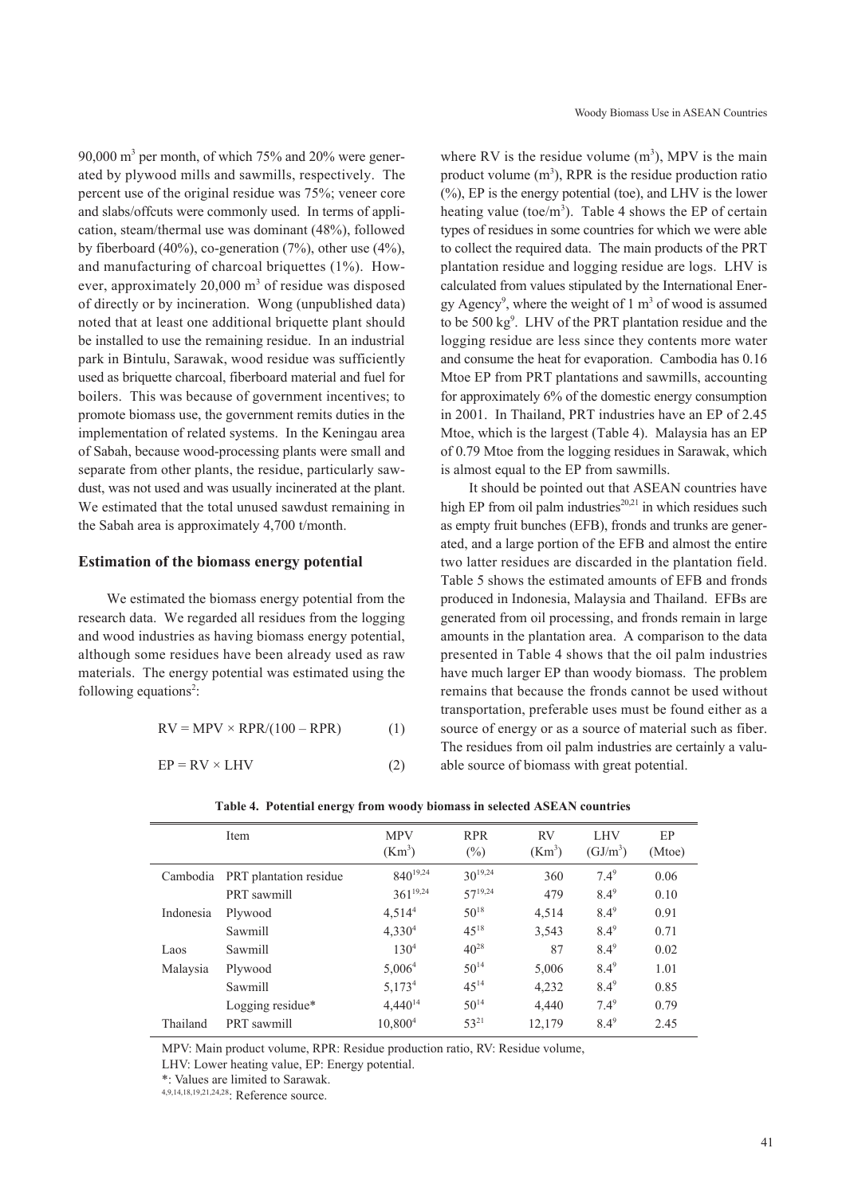90,000 m3 per month, of which 75% and 20% were generated by plywood mills and sawmills, respectively. The percent use of the original residue was 75%; veneer core and slabs/offcuts were commonly used. In terms of application, steam/thermal use was dominant (48%), followed by fiberboard (40%), co-generation (7%), other use (4%), and manufacturing of charcoal briquettes (1%). However, approximately 20,000 m<sup>3</sup> of residue was disposed of directly or by incineration. Wong (unpublished data) noted that at least one additional briquette plant should be installed to use the remaining residue. In an industrial park in Bintulu, Sarawak, wood residue was sufficiently used as briquette charcoal, fiberboard material and fuel for boilers. This was because of government incentives; to promote biomass use, the government remits duties in the implementation of related systems. In the Keningau area of Sabah, because wood-processing plants were small and separate from other plants, the residue, particularly sawdust, was not used and was usually incinerated at the plant. We estimated that the total unused sawdust remaining in the Sabah area is approximately 4,700 t/month.

#### **Estimation of the biomass energy potential**

We estimated the biomass energy potential from the research data. We regarded all residues from the logging and wood industries as having biomass energy potential, although some residues have been already used as raw materials. The energy potential was estimated using the following equations<sup>2</sup>:

$$
RV = MPV \times RPR/(100 - RPR)
$$
 (1)

$$
EP = RV \times LHV
$$
 (2)

where RV is the residue volume  $(m<sup>3</sup>)$ , MPV is the main product volume  $(m<sup>3</sup>)$ , RPR is the residue production ratio  $(\%)$ , EP is the energy potential (toe), and LHV is the lower heating value (toe/ $m<sup>3</sup>$ ). Table 4 shows the EP of certain types of residues in some countries for which we were able to collect the required data. The main products of the PRT plantation residue and logging residue are logs. LHV is calculated from values stipulated by the International Energy Agency<sup>9</sup>, where the weight of  $1 \text{ m}^3$  of wood is assumed to be 500 kg<sup>9</sup>. LHV of the PRT plantation residue and the logging residue are less since they contents more water and consume the heat for evaporation. Cambodia has 0.16 Mtoe EP from PRT plantations and sawmills, accounting for approximately 6% of the domestic energy consumption in 2001. In Thailand, PRT industries have an EP of 2.45 Mtoe, which is the largest (Table 4). Malaysia has an EP of 0.79 Mtoe from the logging residues in Sarawak, which is almost equal to the EP from sawmills.

It should be pointed out that ASEAN countries have high EP from oil palm industries<sup>20,21</sup> in which residues such as empty fruit bunches (EFB), fronds and trunks are generated, and a large portion of the EFB and almost the entire two latter residues are discarded in the plantation field. Table 5 shows the estimated amounts of EFB and fronds produced in Indonesia, Malaysia and Thailand. EFBs are generated from oil processing, and fronds remain in large amounts in the plantation area. A comparison to the data presented in Table 4 shows that the oil palm industries have much larger EP than woody biomass. The problem remains that because the fronds cannot be used without transportation, preferable uses must be found either as a source of energy or as a source of material such as fiber. The residues from oil palm industries are certainly a valuable source of biomass with great potential.

|           | Item                   | <b>MPV</b><br>(Km <sup>3</sup> ) | <b>RPR</b><br>$(\%)$ | <b>RV</b><br>(Km <sup>3</sup> ) | <b>LHV</b><br>$(GJ/m^3)$ | EP<br>(Mtoe) |
|-----------|------------------------|----------------------------------|----------------------|---------------------------------|--------------------------|--------------|
| Cambodia  | PRT plantation residue | $840^{19,24}$                    | $30^{19,24}$         | 360                             | $7.4^{9}$                | 0.06         |
|           | PRT sawmill            | $361^{19,24}$                    | $57^{19,24}$         | 479                             | $8.4^9$                  | 0.10         |
| Indonesia | Plywood                | 4,514 <sup>4</sup>               | $50^{18}$            | 4,514                           | $8.4^9$                  | 0.91         |
|           | Sawmill                | 4,330 <sup>4</sup>               | $45^{18}$            | 3,543                           | $8.4^9$                  | 0.71         |
| Laos      | Sawmill                | $130^{4}$                        | $40^{28}$            | 87                              | $8.4^9$                  | 0.02         |
| Malaysia  | Plywood                | 5,006 <sup>4</sup>               | $50^{14}$            | 5,006                           | $8.4^9$                  | 1.01         |
|           | Sawmill                | 5,173 <sup>4</sup>               | $45^{14}$            | 4,232                           | $8.4^9$                  | 0.85         |
|           | Logging residue*       | $4,440^{14}$                     | $50^{14}$            | 4,440                           | $7.4^9$                  | 0.79         |
| Thailand  | PRT sawmill            | 10,800 <sup>4</sup>              | $53^{21}$            | 12,179                          | $8.4^9$                  | 2.45         |

**Table 4. Potential energy from woody biomass in selected ASEAN countries**

MPV: Main product volume, RPR: Residue production ratio, RV: Residue volume,

LHV: Lower heating value, EP: Energy potential.

\*: Values are limited to Sarawak.

4,9,14,18,19,21,24,28: Reference source.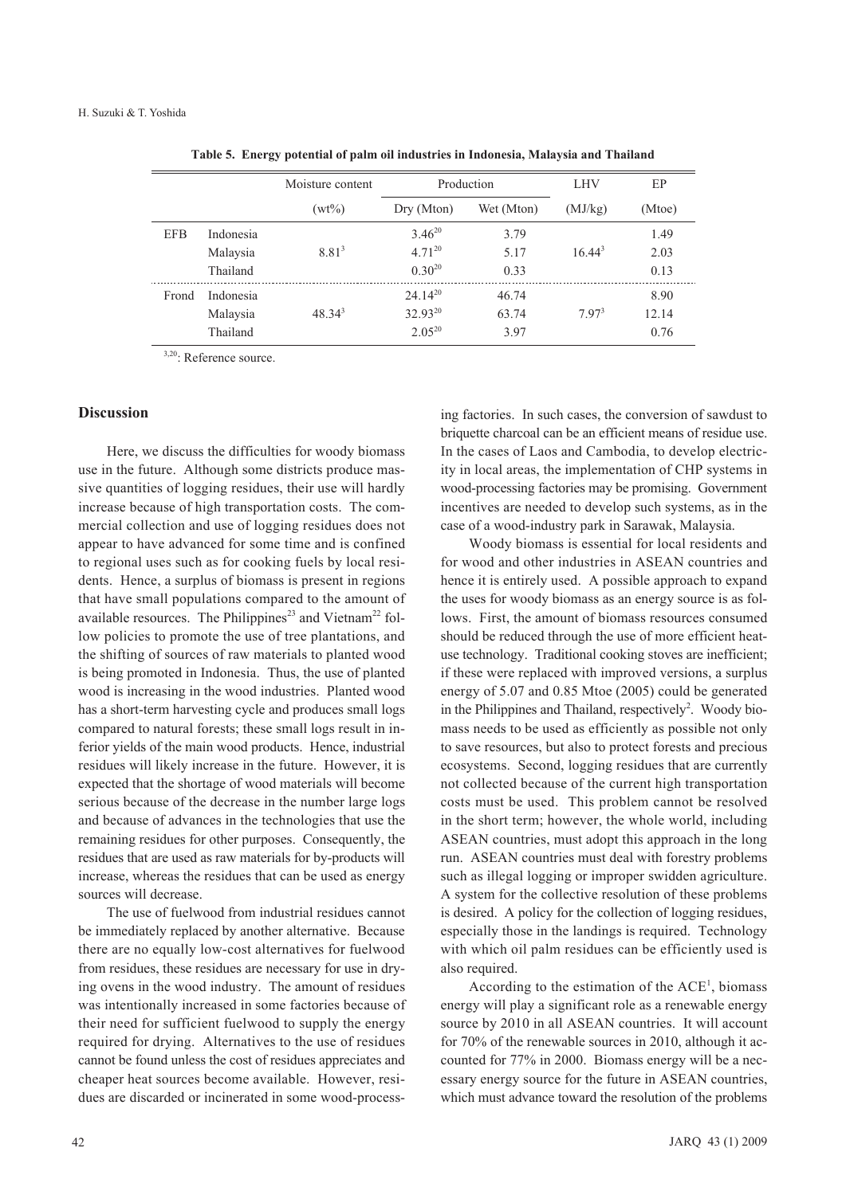|            |           | Moisture content  | Production   |            | <b>LHV</b>        | EP     |
|------------|-----------|-------------------|--------------|------------|-------------------|--------|
|            |           | $(wt\%)$          | Dry (Mton)   | Wet (Mton) | (MJ/kg)           | (Mtoe) |
| <b>EFB</b> | Indonesia |                   | $3.46^{20}$  | 3.79       |                   | 1.49   |
|            | Malaysia  | 8.81 <sup>3</sup> | $4.71^{20}$  | 5.17       | $16.44^{3}$       | 2.03   |
|            | Thailand  |                   | $0.30^{20}$  | 0.33       |                   | 0.13   |
| Frond      | Indonesia |                   | $24.14^{20}$ | 46.74      |                   | 8.90   |
|            | Malaysia  | $48.34^{3}$       | $32.93^{20}$ | 63.74      | 7.97 <sup>3</sup> | 12.14  |
|            | Thailand  |                   | $2.05^{20}$  | 3.97       |                   | 0.76   |

**Table 5. Energy potential of palm oil industries in Indonesia, Malaysia and Thailand**

3,20: Reference source.

#### **Discussion**

Here, we discuss the difficulties for woody biomass use in the future. Although some districts produce massive quantities of logging residues, their use will hardly increase because of high transportation costs. The commercial collection and use of logging residues does not appear to have advanced for some time and is confined to regional uses such as for cooking fuels by local residents. Hence, a surplus of biomass is present in regions that have small populations compared to the amount of available resources. The Philippines<sup>23</sup> and Vietnam<sup>22</sup> follow policies to promote the use of tree plantations, and the shifting of sources of raw materials to planted wood is being promoted in Indonesia. Thus, the use of planted wood is increasing in the wood industries. Planted wood has a short-term harvesting cycle and produces small logs compared to natural forests; these small logs result in inferior yields of the main wood products. Hence, industrial residues will likely increase in the future. However, it is expected that the shortage of wood materials will become serious because of the decrease in the number large logs and because of advances in the technologies that use the remaining residues for other purposes. Consequently, the residues that are used as raw materials for by-products will increase, whereas the residues that can be used as energy sources will decrease.

The use of fuelwood from industrial residues cannot be immediately replaced by another alternative. Because there are no equally low-cost alternatives for fuelwood from residues, these residues are necessary for use in drying ovens in the wood industry. The amount of residues was intentionally increased in some factories because of their need for sufficient fuelwood to supply the energy required for drying. Alternatives to the use of residues cannot be found unless the cost of residues appreciates and cheaper heat sources become available. However, residues are discarded or incinerated in some wood-processing factories. In such cases, the conversion of sawdust to briquette charcoal can be an efficient means of residue use. In the cases of Laos and Cambodia, to develop electricity in local areas, the implementation of CHP systems in wood-processing factories may be promising. Government incentives are needed to develop such systems, as in the case of a wood-industry park in Sarawak, Malaysia.

Woody biomass is essential for local residents and for wood and other industries in ASEAN countries and hence it is entirely used. A possible approach to expand the uses for woody biomass as an energy source is as follows. First, the amount of biomass resources consumed should be reduced through the use of more efficient heatuse technology. Traditional cooking stoves are inefficient; if these were replaced with improved versions, a surplus energy of 5.07 and 0.85 Mtoe (2005) could be generated in the Philippines and Thailand, respectively<sup>2</sup>. Woody biomass needs to be used as efficiently as possible not only to save resources, but also to protect forests and precious ecosystems. Second, logging residues that are currently not collected because of the current high transportation costs must be used. This problem cannot be resolved in the short term; however, the whole world, including ASEAN countries, must adopt this approach in the long run. ASEAN countries must deal with forestry problems such as illegal logging or improper swidden agriculture. A system for the collective resolution of these problems is desired. A policy for the collection of logging residues, especially those in the landings is required. Technology with which oil palm residues can be efficiently used is also required.

According to the estimation of the  $ACE<sup>1</sup>$ , biomass energy will play a significant role as a renewable energy source by 2010 in all ASEAN countries. It will account for 70% of the renewable sources in 2010, although it accounted for 77% in 2000. Biomass energy will be a necessary energy source for the future in ASEAN countries, which must advance toward the resolution of the problems